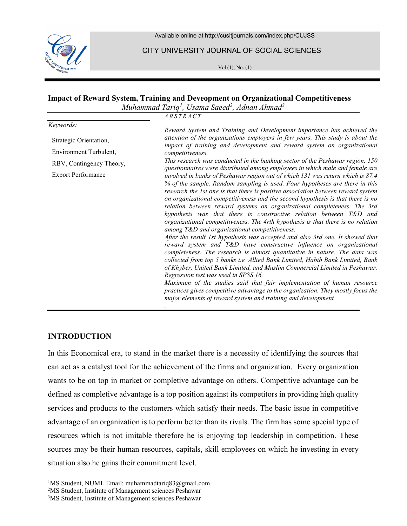

Available online at http://cusitjournals.com/index.php/CUJSS

CITY UNIVERSITY JOURNAL OF SOCIAL SCIENCES

Vol (1), No. (1)

#### Impact of Reward System, Training and Deveopment on Organizational Competitiveness  $\overline{v}$   $\overline{v}$

|                           | Muhammad Tariq <sup>1</sup> , Usama Saeed <sup>2</sup> , Adnan Ahmad <sup>3</sup>                                                                                                                                                                                                                                                                                                                                                                                                                                                                                                                                                                                                                                                                                                                                                                                                                                                                                                                                                                                                                                                                                                                                                                                                                    |
|---------------------------|------------------------------------------------------------------------------------------------------------------------------------------------------------------------------------------------------------------------------------------------------------------------------------------------------------------------------------------------------------------------------------------------------------------------------------------------------------------------------------------------------------------------------------------------------------------------------------------------------------------------------------------------------------------------------------------------------------------------------------------------------------------------------------------------------------------------------------------------------------------------------------------------------------------------------------------------------------------------------------------------------------------------------------------------------------------------------------------------------------------------------------------------------------------------------------------------------------------------------------------------------------------------------------------------------|
|                           | ABSTRACT                                                                                                                                                                                                                                                                                                                                                                                                                                                                                                                                                                                                                                                                                                                                                                                                                                                                                                                                                                                                                                                                                                                                                                                                                                                                                             |
| Keywords:                 | Reward System and Training and Development importance has achieved the                                                                                                                                                                                                                                                                                                                                                                                                                                                                                                                                                                                                                                                                                                                                                                                                                                                                                                                                                                                                                                                                                                                                                                                                                               |
| Strategic Orientation,    | attention of the organizations employers in few years. This study is about the<br>impact of training and development and reward system on organizational                                                                                                                                                                                                                                                                                                                                                                                                                                                                                                                                                                                                                                                                                                                                                                                                                                                                                                                                                                                                                                                                                                                                             |
| Environment Turbulent,    | competitiveness.                                                                                                                                                                                                                                                                                                                                                                                                                                                                                                                                                                                                                                                                                                                                                                                                                                                                                                                                                                                                                                                                                                                                                                                                                                                                                     |
| RBV, Contingency Theory,  | This research was conducted in the banking sector of the Peshawar region. 150<br>questionnaires were distributed among employees in which male and female are                                                                                                                                                                                                                                                                                                                                                                                                                                                                                                                                                                                                                                                                                                                                                                                                                                                                                                                                                                                                                                                                                                                                        |
| <b>Export Performance</b> | involved in banks of Peshawar region out of which 131 was return which is 87.4<br>% of the sample. Random sampling is used. Four hypotheses are there in this<br>research the 1st one is that there is positive association between reward system<br>on organizational competitiveness and the second hypothesis is that there is no<br>relation between reward systems on organizational completeness. The 3rd<br>hypothesis was that there is constructive relation between T&D and<br>organizational competitiveness. The 4rth hypothesis is that there is no relation<br>among T&D and organizational competitiveness.<br>After the result 1st hypothesis was accepted and also 3rd one. It showed that<br>reward system and T&D have constructive influence on organizational<br>completeness. The research is almost quantitative in nature. The data was<br>collected from top 5 banks i.e. Allied Bank Limited, Habib Bank Limited, Bank<br>of Khyber, United Bank Limited, and Muslim Commercial Limited in Peshawar.<br>Regression test was used in SPSS 16.<br>Maximum of the studies said that fair implementation of human resource<br>practices gives competitive advantage to the organization. They mostly focus the<br>major elements of reward system and training and development |

## **INTRODUCTION**

In this Economical era, to stand in the market there is a necessity of identifying the sources that can act as a catalyst tool for the achievement of the firms and organization. Every organization wants to be on top in market or completive advantage on others. Competitive advantage can be defined as completive advantage is a top position against its competitors in providing high quality services and products to the customers which satisfy their needs. The basic issue in competitive advantage of an organization is to perform better than its rivals. The firm has some special type of resources which is not imitable therefore he is enjoying top leadership in competition. These sources may be their human resources, capitals, skill employees on which he investing in every situation also he gains their commitment level.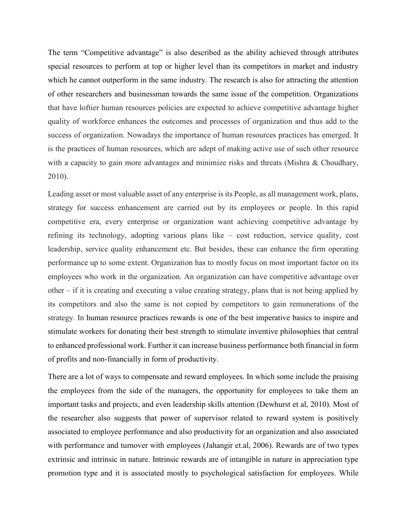The term "Competitive advantage" is also described as the ability achieved through attributes special resources to perform at top or higher level than its competitors in market and industry which he cannot outperform in the same industry. The research is also for attracting the attention of other researchers and businessman towards the same issue of the competition. Organizations that have loftier human resources policies are expected to achieve competitive advantage higher quality of workforce enhances the outcomes and processes of organization and thus add to the success of organization. Nowadays the importance of human resources practices has emerged. It is the practices of human resources, which are adept of making active use of such other resource with a capacity to gain more advantages and minimize risks and threats (Mishra & Choudhary, 2010).

Leading asset or most valuable asset of any enterprise is its People, as all management work, plans, strategy for success enhancement are carried out by its employees or people. In this rapid competitive era, every enterprise or organization want achieving competitive advantage by refining its technology, adopting various plans like – cost reduction, service quality, cost leadership, service quality enhancement etc. But besides, these can enhance the firm operating performance up to some extent. Organization has to mostly focus on most important factor on its employees who work in the organization. An organization can have competitive advantage over other – if it is creating and executing a value creating strategy, plans that is not being applied by its competitors and also the same is not copied by competitors to gain remunerations of the strategy. In human resource practices rewards is one of the best imperative basics to inspire and stimulate workers for donating their best strength to stimulate inventive philosophies that central to enhanced professional work. Further it can increase business performance both financial in form of profits and non-financially in form of productivity.

There are a lot of ways to compensate and reward employees. In which some include the praising the employees from the side of the managers, the opportunity for employees to take them an important tasks and projects, and even leadership skills attention (Dewhurst et al, 2010). Most of the researcher also suggests that power of supervisor related to reward system is positively associated to employee performance and also productivity for an organization and also associated with performance and turnover with employees (Jahangir et.al, 2006). Rewards are of two types extrinsic and intrinsic in nature. Intrinsic rewards are of intangible in nature in appreciation type promotion type and it is associated mostly to psychological satisfaction for employees. While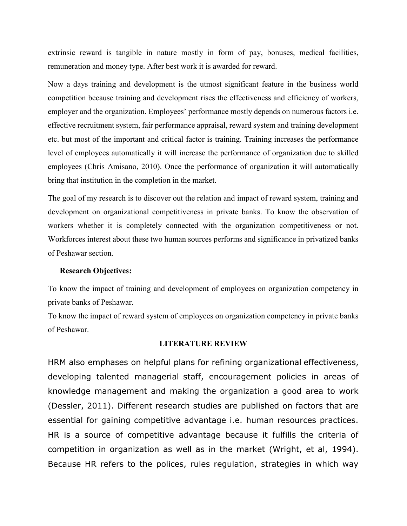extrinsic reward is tangible in nature mostly in form of pay, bonuses, medical facilities, remuneration and money type. After best work it is awarded for reward.

Now a days training and development is the utmost significant feature in the business world competition because training and development rises the effectiveness and efficiency of workers, employer and the organization. Employees' performance mostly depends on numerous factors i.e. effective recruitment system, fair performance appraisal, reward system and training development etc. but most of the important and critical factor is training. Training increases the performance level of employees automatically it will increase the performance of organization due to skilled employees (Chris Amisano, 2010). Once the performance of organization it will automatically bring that institution in the completion in the market.

The goal of my research is to discover out the relation and impact of reward system, training and development on organizational competitiveness in private banks. To know the observation of workers whether it is completely connected with the organization competitiveness or not. Workforces interest about these two human sources performs and significance in privatized banks of Peshawar section.

#### Research Objectives:

To know the impact of training and development of employees on organization competency in private banks of Peshawar.

To know the impact of reward system of employees on organization competency in private banks of Peshawar.

#### LITERATURE REVIEW

HRM also emphases on helpful plans for refining organizational effectiveness, developing talented managerial staff, encouragement policies in areas of knowledge management and making the organization a good area to work (Dessler, 2011). Different research studies are published on factors that are essential for gaining competitive advantage i.e. human resources practices. HR is a source of competitive advantage because it fulfills the criteria of competition in organization as well as in the market (Wright, et al, 1994). Because HR refers to the polices, rules regulation, strategies in which way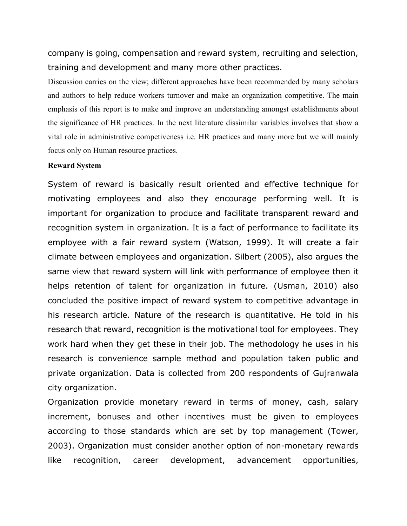company is going, compensation and reward system, recruiting and selection, training and development and many more other practices.

Discussion carries on the view; different approaches have been recommended by many scholars and authors to help reduce workers turnover and make an organization competitive. The main emphasis of this report is to make and improve an understanding amongst establishments about the significance of HR practices. In the next literature dissimilar variables involves that show a vital role in administrative competiveness i.e. HR practices and many more but we will mainly focus only on Human resource practices.

### Reward System

System of reward is basically result oriented and effective technique for motivating employees and also they encourage performing well. It is important for organization to produce and facilitate transparent reward and recognition system in organization. It is a fact of performance to facilitate its employee with a fair reward system (Watson, 1999). It will create a fair climate between employees and organization. Silbert (2005), also argues the same view that reward system will link with performance of employee then it helps retention of talent for organization in future. (Usman, 2010) also concluded the positive impact of reward system to competitive advantage in his research article. Nature of the research is quantitative. He told in his research that reward, recognition is the motivational tool for employees. They work hard when they get these in their job. The methodology he uses in his research is convenience sample method and population taken public and private organization. Data is collected from 200 respondents of Gujranwala city organization.

Organization provide monetary reward in terms of money, cash, salary increment, bonuses and other incentives must be given to employees according to those standards which are set by top management (Tower, 2003). Organization must consider another option of non-monetary rewards like recognition, career development, advancement opportunities,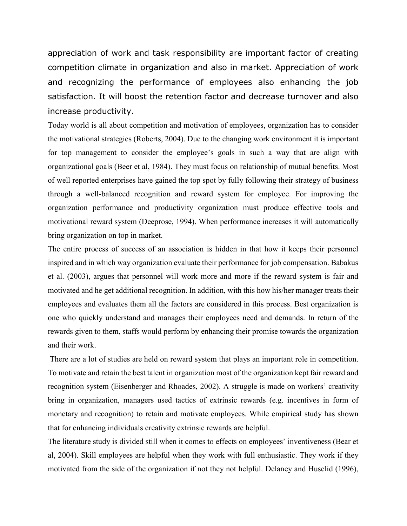appreciation of work and task responsibility are important factor of creating competition climate in organization and also in market. Appreciation of work and recognizing the performance of employees also enhancing the job satisfaction. It will boost the retention factor and decrease turnover and also increase productivity.

Today world is all about competition and motivation of employees, organization has to consider the motivational strategies (Roberts, 2004). Due to the changing work environment it is important for top management to consider the employee's goals in such a way that are align with organizational goals (Beer et al, 1984). They must focus on relationship of mutual benefits. Most of well reported enterprises have gained the top spot by fully following their strategy of business through a well-balanced recognition and reward system for employee. For improving the organization performance and productivity organization must produce effective tools and motivational reward system (Deeprose, 1994). When performance increases it will automatically bring organization on top in market.

The entire process of success of an association is hidden in that how it keeps their personnel inspired and in which way organization evaluate their performance for job compensation. Babakus et al. (2003), argues that personnel will work more and more if the reward system is fair and motivated and he get additional recognition. In addition, with this how his/her manager treats their employees and evaluates them all the factors are considered in this process. Best organization is one who quickly understand and manages their employees need and demands. In return of the rewards given to them, staffs would perform by enhancing their promise towards the organization and their work.

 There are a lot of studies are held on reward system that plays an important role in competition. To motivate and retain the best talent in organization most of the organization kept fair reward and recognition system (Eisenberger and Rhoades, 2002). A struggle is made on workers' creativity bring in organization, managers used tactics of extrinsic rewards (e.g. incentives in form of monetary and recognition) to retain and motivate employees. While empirical study has shown that for enhancing individuals creativity extrinsic rewards are helpful.

The literature study is divided still when it comes to effects on employees' inventiveness (Bear et al, 2004). Skill employees are helpful when they work with full enthusiastic. They work if they motivated from the side of the organization if not they not helpful. Delaney and Huselid (1996),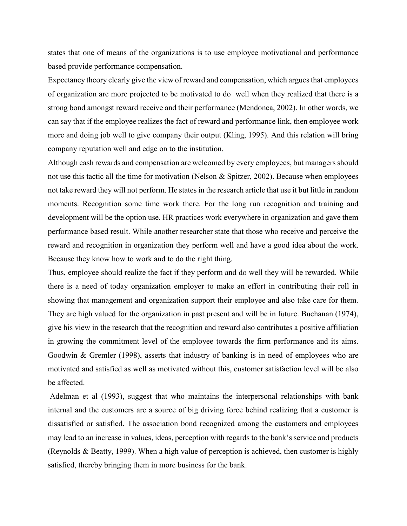states that one of means of the organizations is to use employee motivational and performance based provide performance compensation.

Expectancy theory clearly give the view of reward and compensation, which argues that employees of organization are more projected to be motivated to do well when they realized that there is a strong bond amongst reward receive and their performance (Mendonca, 2002). In other words, we can say that if the employee realizes the fact of reward and performance link, then employee work more and doing job well to give company their output (Kling, 1995). And this relation will bring company reputation well and edge on to the institution.

Although cash rewards and compensation are welcomed by every employees, but managers should not use this tactic all the time for motivation (Nelson & Spitzer, 2002). Because when employees not take reward they will not perform. He states in the research article that use it but little in random moments. Recognition some time work there. For the long run recognition and training and development will be the option use. HR practices work everywhere in organization and gave them performance based result. While another researcher state that those who receive and perceive the reward and recognition in organization they perform well and have a good idea about the work. Because they know how to work and to do the right thing.

Thus, employee should realize the fact if they perform and do well they will be rewarded. While there is a need of today organization employer to make an effort in contributing their roll in showing that management and organization support their employee and also take care for them. They are high valued for the organization in past present and will be in future. Buchanan (1974), give his view in the research that the recognition and reward also contributes a positive affiliation in growing the commitment level of the employee towards the firm performance and its aims. Goodwin & Gremler (1998), asserts that industry of banking is in need of employees who are motivated and satisfied as well as motivated without this, customer satisfaction level will be also be affected.

 Adelman et al (1993), suggest that who maintains the interpersonal relationships with bank internal and the customers are a source of big driving force behind realizing that a customer is dissatisfied or satisfied. The association bond recognized among the customers and employees may lead to an increase in values, ideas, perception with regards to the bank's service and products (Reynolds & Beatty, 1999). When a high value of perception is achieved, then customer is highly satisfied, thereby bringing them in more business for the bank.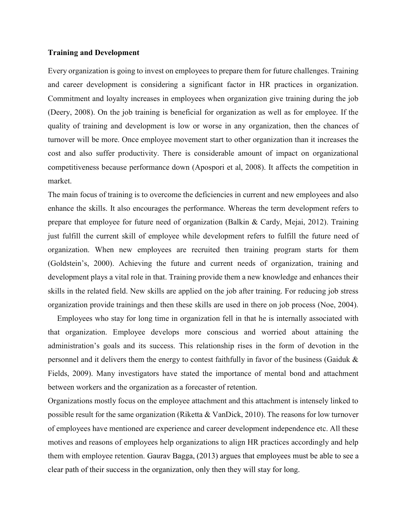#### Training and Development

Every organization is going to invest on employees to prepare them for future challenges. Training and career development is considering a significant factor in HR practices in organization. Commitment and loyalty increases in employees when organization give training during the job (Deery, 2008). On the job training is beneficial for organization as well as for employee. If the quality of training and development is low or worse in any organization, then the chances of turnover will be more. Once employee movement start to other organization than it increases the cost and also suffer productivity. There is considerable amount of impact on organizational competitiveness because performance down (Apospori et al, 2008). It affects the competition in market.

The main focus of training is to overcome the deficiencies in current and new employees and also enhance the skills. It also encourages the performance. Whereas the term development refers to prepare that employee for future need of organization (Balkin & Cardy, Mejai, 2012). Training just fulfill the current skill of employee while development refers to fulfill the future need of organization. When new employees are recruited then training program starts for them (Goldstein's, 2000). Achieving the future and current needs of organization, training and development plays a vital role in that. Training provide them a new knowledge and enhances their skills in the related field. New skills are applied on the job after training. For reducing job stress organization provide trainings and then these skills are used in there on job process (Noe, 2004).

 Employees who stay for long time in organization fell in that he is internally associated with that organization. Employee develops more conscious and worried about attaining the administration's goals and its success. This relationship rises in the form of devotion in the personnel and it delivers them the energy to contest faithfully in favor of the business (Gaiduk & Fields, 2009). Many investigators have stated the importance of mental bond and attachment between workers and the organization as a forecaster of retention.

Organizations mostly focus on the employee attachment and this attachment is intensely linked to possible result for the same organization (Riketta & VanDick, 2010). The reasons for low turnover of employees have mentioned are experience and career development independence etc. All these motives and reasons of employees help organizations to align HR practices accordingly and help them with employee retention. Gaurav Bagga, (2013) argues that employees must be able to see a clear path of their success in the organization, only then they will stay for long.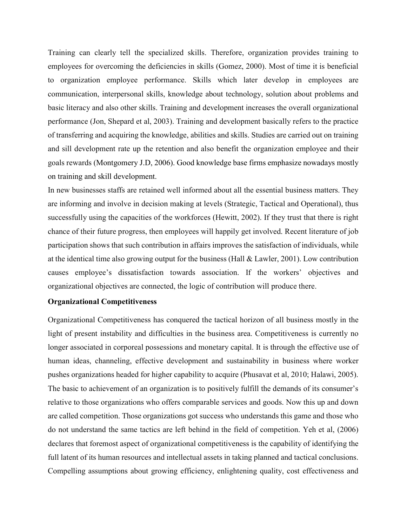Training can clearly tell the specialized skills. Therefore, organization provides training to employees for overcoming the deficiencies in skills (Gomez, 2000). Most of time it is beneficial to organization employee performance. Skills which later develop in employees are communication, interpersonal skills, knowledge about technology, solution about problems and basic literacy and also other skills. Training and development increases the overall organizational performance (Jon, Shepard et al, 2003). Training and development basically refers to the practice of transferring and acquiring the knowledge, abilities and skills. Studies are carried out on training and sill development rate up the retention and also benefit the organization employee and their goals rewards (Montgomery J.D, 2006). Good knowledge base firms emphasize nowadays mostly on training and skill development.

In new businesses staffs are retained well informed about all the essential business matters. They are informing and involve in decision making at levels (Strategic, Tactical and Operational), thus successfully using the capacities of the workforces (Hewitt, 2002). If they trust that there is right chance of their future progress, then employees will happily get involved. Recent literature of job participation shows that such contribution in affairs improves the satisfaction of individuals, while at the identical time also growing output for the business (Hall & Lawler, 2001). Low contribution causes employee's dissatisfaction towards association. If the workers' objectives and organizational objectives are connected, the logic of contribution will produce there.

#### Organizational Competitiveness

Organizational Competitiveness has conquered the tactical horizon of all business mostly in the light of present instability and difficulties in the business area. Competitiveness is currently no longer associated in corporeal possessions and monetary capital. It is through the effective use of human ideas, channeling, effective development and sustainability in business where worker pushes organizations headed for higher capability to acquire (Phusavat et al, 2010; Halawi, 2005). The basic to achievement of an organization is to positively fulfill the demands of its consumer's relative to those organizations who offers comparable services and goods. Now this up and down are called competition. Those organizations got success who understands this game and those who do not understand the same tactics are left behind in the field of competition. Yeh et al, (2006) declares that foremost aspect of organizational competitiveness is the capability of identifying the full latent of its human resources and intellectual assets in taking planned and tactical conclusions. Compelling assumptions about growing efficiency, enlightening quality, cost effectiveness and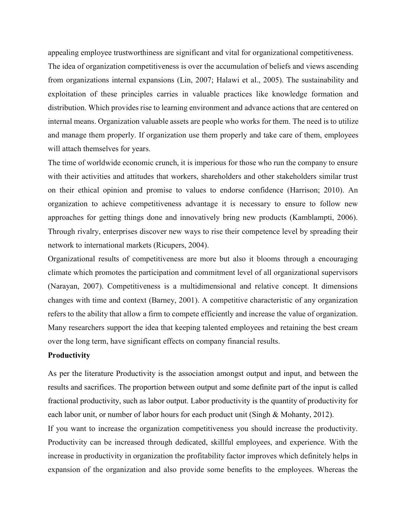appealing employee trustworthiness are significant and vital for organizational competitiveness.

The idea of organization competitiveness is over the accumulation of beliefs and views ascending from organizations internal expansions (Lin, 2007; Halawi et al., 2005). The sustainability and exploitation of these principles carries in valuable practices like knowledge formation and distribution. Which provides rise to learning environment and advance actions that are centered on internal means. Organization valuable assets are people who works for them. The need is to utilize and manage them properly. If organization use them properly and take care of them, employees will attach themselves for years.

The time of worldwide economic crunch, it is imperious for those who run the company to ensure with their activities and attitudes that workers, shareholders and other stakeholders similar trust on their ethical opinion and promise to values to endorse confidence (Harrison; 2010). An organization to achieve competitiveness advantage it is necessary to ensure to follow new approaches for getting things done and innovatively bring new products (Kamblampti, 2006). Through rivalry, enterprises discover new ways to rise their competence level by spreading their network to international markets (Ricupers, 2004).

Organizational results of competitiveness are more but also it blooms through a encouraging climate which promotes the participation and commitment level of all organizational supervisors (Narayan, 2007). Competitiveness is a multidimensional and relative concept. It dimensions changes with time and context (Barney, 2001). A competitive characteristic of any organization refers to the ability that allow a firm to compete efficiently and increase the value of organization. Many researchers support the idea that keeping talented employees and retaining the best cream over the long term, have significant effects on company financial results.

### **Productivity**

As per the literature Productivity is the association amongst output and input, and between the results and sacrifices. The proportion between output and some definite part of the input is called fractional productivity, such as labor output. Labor productivity is the quantity of productivity for each labor unit, or number of labor hours for each product unit (Singh & Mohanty, 2012).

If you want to increase the organization competitiveness you should increase the productivity. Productivity can be increased through dedicated, skillful employees, and experience. With the increase in productivity in organization the profitability factor improves which definitely helps in expansion of the organization and also provide some benefits to the employees. Whereas the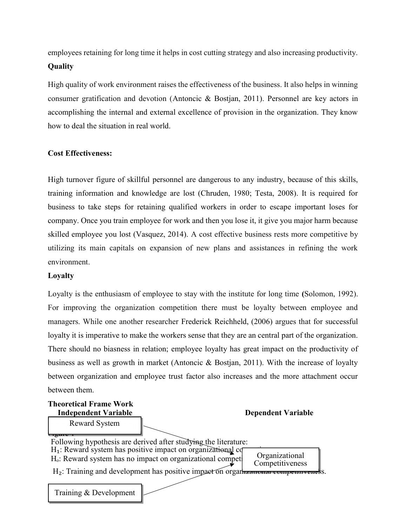employees retaining for long time it helps in cost cutting strategy and also increasing productivity. **Ouality** 

High quality of work environment raises the effectiveness of the business. It also helps in winning consumer gratification and devotion (Antoncic & Bostjan, 2011). Personnel are key actors in accomplishing the internal and external excellence of provision in the organization. They know how to deal the situation in real world.

## Cost Effectiveness:

High turnover figure of skillful personnel are dangerous to any industry, because of this skills, training information and knowledge are lost (Chruden, 1980; Testa, 2008). It is required for business to take steps for retaining qualified workers in order to escape important loses for company. Once you train employee for work and then you lose it, it give you major harm because skilled employee you lost (Vasquez, 2014). A cost effective business rests more competitive by utilizing its main capitals on expansion of new plans and assistances in refining the work environment.

## Loyalty

Loyalty is the enthusiasm of employee to stay with the institute for long time (Solomon, 1992). For improving the organization competition there must be loyalty between employee and managers. While one another researcher Frederick Reichheld, (2006) argues that for successful loyalty it is imperative to make the workers sense that they are an central part of the organization. There should no biasness in relation; employee loyalty has great impact on the productivity of business as well as growth in market (Antoncic & Bostjan, 2011). With the increase of loyalty between organization and employee trust factor also increases and the more attachment occur between them.

Theoretical Frame Work Independent Variable Dependent Variable  $\lfloor$ <sub>rgur</sub>e 1 Following hypothesis are derived after studying the literature:  $H_1$ : Reward system has positive impact on organizational competitive  $H<sub>o</sub>$ : Reward system has no impact on organizational compet  $H_2$ : Training and development has positive impact on organizational competitiveness. Reward System Organizational Competitiveness Training & Development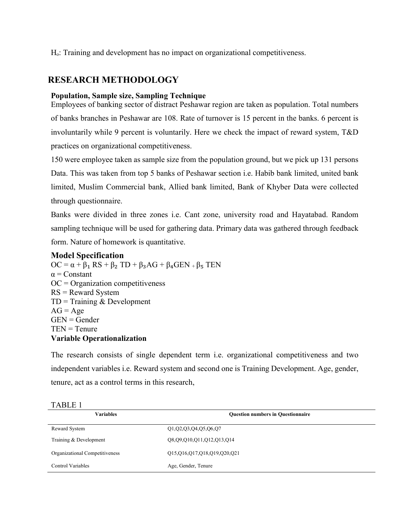H<sub>o</sub>: Training and development has no impact on organizational competitiveness.

## RESEARCH METHODOLOGY

## Population, Sample size, Sampling Technique

Employees of banking sector of distract Peshawar region are taken as population. Total numbers of banks branches in Peshawar are 108. Rate of turnover is 15 percent in the banks. 6 percent is involuntarily while 9 percent is voluntarily. Here we check the impact of reward system, T&D practices on organizational competitiveness.

150 were employee taken as sample size from the population ground, but we pick up 131 persons Data. This was taken from top 5 banks of Peshawar section i.e. Habib bank limited, united bank limited, Muslim Commercial bank, Allied bank limited, Bank of Khyber Data were collected through questionnaire.

Banks were divided in three zones i.e. Cant zone, university road and Hayatabad. Random sampling technique will be used for gathering data. Primary data was gathered through feedback form. Nature of homework is quantitative.

## Model Specification

 $OC = \alpha + \beta_1 RS + \beta_2 TD + \beta_3 AG + \beta_4 GEN + \beta_5 TEN$  $\alpha$  = Constant  $OC = Organization$  competitiveness RS = Reward System  $TD = Training & Development$  $AG = Age$  $GEN = \text{Gender}$  $TEN = Tenure$ Variable Operationalization

The research consists of single dependent term i.e. organizational competitiveness and two independent variables i.e. Reward system and second one is Training Development. Age, gender, tenure, act as a control terms in this research,

| <b>Variables</b>               | <b>Question numbers in Questionnaire</b> |
|--------------------------------|------------------------------------------|
| Reward System                  | Q1,Q2,Q3,Q4,Q5,Q6,Q7                     |
| Training & Development         | Q8,Q9,Q10,Q11,Q12,Q13,Q14                |
| Organizational Competitiveness | Q15,Q16,Q17,Q18,Q19,Q20,Q21              |
| <b>Control Variables</b>       | Age, Gender, Tenure                      |

#### TABLE 1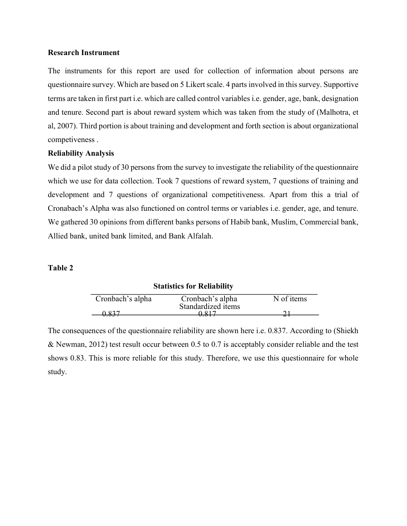#### Research Instrument

The instruments for this report are used for collection of information about persons are questionnaire survey. Which are based on 5 Likert scale. 4 parts involved in this survey. Supportive terms are taken in first part i.e. which are called control variables i.e. gender, age, bank, designation and tenure. Second part is about reward system which was taken from the study of (Malhotra, et al, 2007). Third portion is about training and development and forth section is about organizational competiveness .

## Reliability Analysis

We did a pilot study of 30 persons from the survey to investigate the reliability of the questionnaire which we use for data collection. Took 7 questions of reward system, 7 questions of training and development and 7 questions of organizational competitiveness. Apart from this a trial of Cronabach's Alpha was also functioned on control terms or variables i.e. gender, age, and tenure. We gathered 30 opinions from different banks persons of Habib bank, Muslim, Commercial bank, Allied bank, united bank limited, and Bank Alfalah.

### Table 2

|                  | <b>Statistics for Reliability</b> |            |
|------------------|-----------------------------------|------------|
| Cronbach's alpha | Cronbach's alpha                  | N of items |
|                  | Standardized items                |            |
|                  |                                   |            |

The consequences of the questionnaire reliability are shown here i.e. 0.837. According to (Shiekh & Newman, 2012) test result occur between 0.5 to 0.7 is acceptably consider reliable and the test shows 0.83. This is more reliable for this study. Therefore, we use this questionnaire for whole study.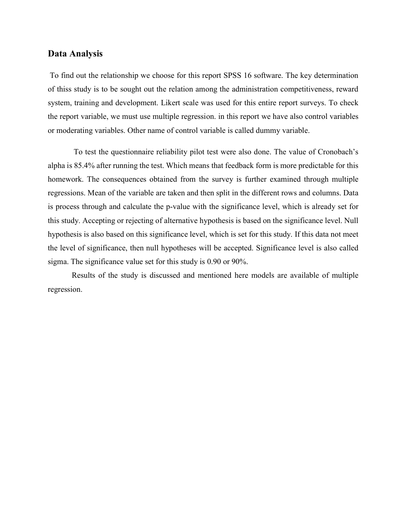## Data Analysis

 To find out the relationship we choose for this report SPSS 16 software. The key determination of thiss study is to be sought out the relation among the administration competitiveness, reward system, training and development. Likert scale was used for this entire report surveys. To check the report variable, we must use multiple regression. in this report we have also control variables or moderating variables. Other name of control variable is called dummy variable.

 To test the questionnaire reliability pilot test were also done. The value of Cronobach's alpha is 85.4% after running the test. Which means that feedback form is more predictable for this homework. The consequences obtained from the survey is further examined through multiple regressions. Mean of the variable are taken and then split in the different rows and columns. Data is process through and calculate the p-value with the significance level, which is already set for this study. Accepting or rejecting of alternative hypothesis is based on the significance level. Null hypothesis is also based on this significance level, which is set for this study. If this data not meet the level of significance, then null hypotheses will be accepted. Significance level is also called sigma. The significance value set for this study is 0.90 or 90%.

 Results of the study is discussed and mentioned here models are available of multiple regression.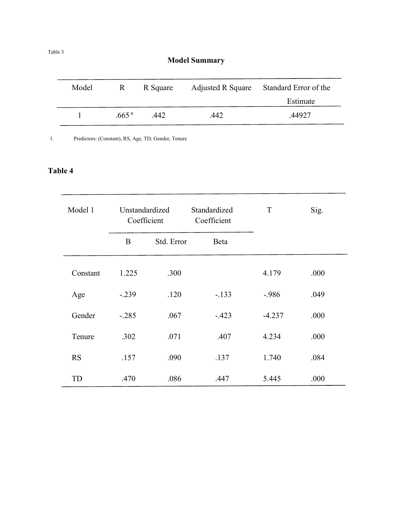# Model Summary

| Model | R.                | R Square | Adjusted R Square | Standard Error of the |
|-------|-------------------|----------|-------------------|-----------------------|
|       |                   |          |                   | Estimate              |
|       | .665 <sup>a</sup> | .442     | .442              | .44927                |

1. Predictors: (Constant), RS, Age, TD, Gender, Tenure

## Table 4

| Model 1   | Unstandardized<br>Coefficient |            | Standardized<br>Coefficient | T        | Sig. |
|-----------|-------------------------------|------------|-----------------------------|----------|------|
|           | $\bf{B}$                      | Std. Error | Beta                        |          |      |
| Constant  | 1.225                         | .300       |                             | 4.179    | .000 |
| Age       | $-.239$                       | .120       | $-.133$                     | $-.986$  | .049 |
| Gender    | $-.285$                       | .067       | $-.423$                     | $-4.237$ | .000 |
| Tenure    | .302                          | .071       | .407                        | 4.234    | .000 |
| <b>RS</b> | .157                          | .090       | .137                        | 1.740    | .084 |
| TD        | .470                          | .086       | .447                        | 5.445    | .000 |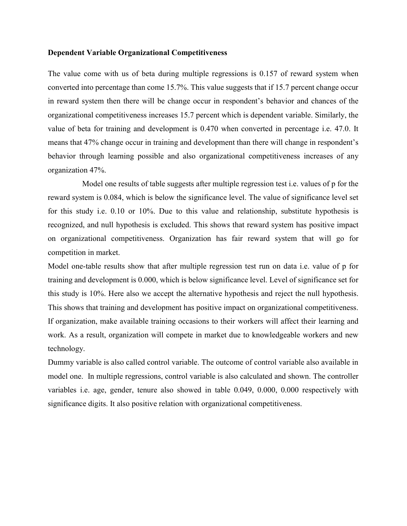#### Dependent Variable Organizational Competitiveness

The value come with us of beta during multiple regressions is 0.157 of reward system when converted into percentage than come 15.7%. This value suggests that if 15.7 percent change occur in reward system then there will be change occur in respondent's behavior and chances of the organizational competitiveness increases 15.7 percent which is dependent variable. Similarly, the value of beta for training and development is 0.470 when converted in percentage i.e. 47.0. It means that 47% change occur in training and development than there will change in respondent's behavior through learning possible and also organizational competitiveness increases of any organization 47%.

 Model one results of table suggests after multiple regression test i.e. values of p for the reward system is 0.084, which is below the significance level. The value of significance level set for this study i.e. 0.10 or 10%. Due to this value and relationship, substitute hypothesis is recognized, and null hypothesis is excluded. This shows that reward system has positive impact on organizational competitiveness. Organization has fair reward system that will go for competition in market.

Model one-table results show that after multiple regression test run on data i.e. value of p for training and development is 0.000, which is below significance level. Level of significance set for this study is 10%. Here also we accept the alternative hypothesis and reject the null hypothesis. This shows that training and development has positive impact on organizational competitiveness. If organization, make available training occasions to their workers will affect their learning and work. As a result, organization will compete in market due to knowledgeable workers and new technology.

Dummy variable is also called control variable. The outcome of control variable also available in model one. In multiple regressions, control variable is also calculated and shown. The controller variables i.e. age, gender, tenure also showed in table 0.049, 0.000, 0.000 respectively with significance digits. It also positive relation with organizational competitiveness.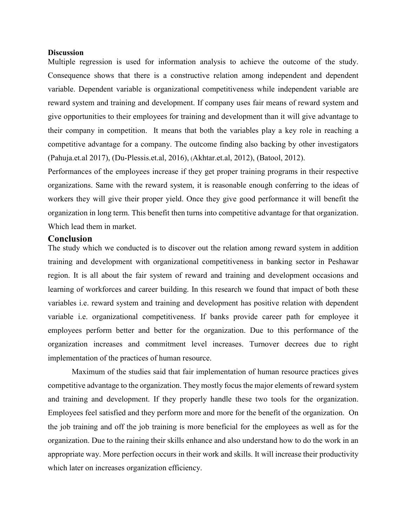#### **Discussion**

Multiple regression is used for information analysis to achieve the outcome of the study. Consequence shows that there is a constructive relation among independent and dependent variable. Dependent variable is organizational competitiveness while independent variable are reward system and training and development. If company uses fair means of reward system and give opportunities to their employees for training and development than it will give advantage to their company in competition. It means that both the variables play a key role in reaching a competitive advantage for a company. The outcome finding also backing by other investigators (Pahuja.et.al 2017), (Du-Plessis.et.al, 2016), (Akhtar.et.al, 2012), (Batool, 2012).

Performances of the employees increase if they get proper training programs in their respective organizations. Same with the reward system, it is reasonable enough conferring to the ideas of workers they will give their proper yield. Once they give good performance it will benefit the organization in long term. This benefit then turns into competitive advantage for that organization. Which lead them in market.

#### Conclusion

The study which we conducted is to discover out the relation among reward system in addition training and development with organizational competitiveness in banking sector in Peshawar region. It is all about the fair system of reward and training and development occasions and learning of workforces and career building. In this research we found that impact of both these variables i.e. reward system and training and development has positive relation with dependent variable i.e. organizational competitiveness. If banks provide career path for employee it employees perform better and better for the organization. Due to this performance of the organization increases and commitment level increases. Turnover decrees due to right implementation of the practices of human resource.

Maximum of the studies said that fair implementation of human resource practices gives competitive advantage to the organization. They mostly focus the major elements of reward system and training and development. If they properly handle these two tools for the organization. Employees feel satisfied and they perform more and more for the benefit of the organization. On the job training and off the job training is more beneficial for the employees as well as for the organization. Due to the raining their skills enhance and also understand how to do the work in an appropriate way. More perfection occurs in their work and skills. It will increase their productivity which later on increases organization efficiency.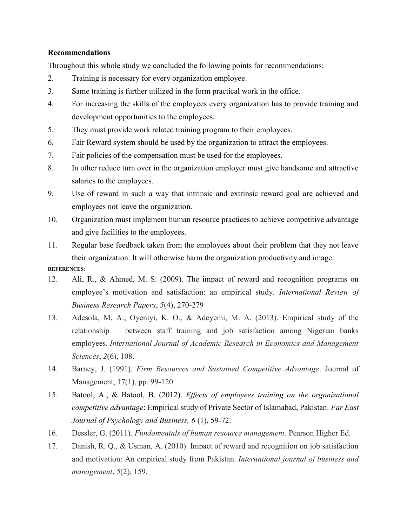## Recommendations

Throughout this whole study we concluded the following points for recommendations:

- 2. Training is necessary for every organization employee.
- 3. Same training is further utilized in the form practical work in the office.
- 4. For increasing the skills of the employees every organization has to provide training and development opportunities to the employees.
- 5. They must provide work related training program to their employees.
- 6. Fair Reward system should be used by the organization to attract the employees.
- 7. Fair policies of the compensation must be used for the employees.
- 8. In other reduce turn over in the organization employer must give handsome and attractive salaries to the employees.
- 9. Use of reward in such a way that intrinsic and extrinsic reward goal are achieved and employees not leave the organization.
- 10. Organization must implement human resource practices to achieve competitive advantage and give facilities to the employees.
- 11. Regular base feedback taken from the employees about their problem that they not leave their organization. It will otherwise harm the organization productivity and image.

REFERENCES:

- 12. Ali, R., & Ahmed, M. S. (2009). The impact of reward and recognition programs on employee's motivation and satisfaction: an empirical study. International Review of Business Research Papers, 5(4), 270-279
- 13. Adesola, M. A., Oyeniyi, K. O., & Adeyemi, M. A. (2013). Empirical study of the relationship between staff training and job satisfaction among Nigerian banks employees. International Journal of Academic Research in Economics and Management Sciences, 2(6), 108.
- 14. Barney, J. (1991). Firm Resources and Sustained Competitive Advantage. Journal of Management, 17(1), pp. 99-120.
- 15. Batool, A., & Batool, B. (2012). Effects of employees training on the organizational competitive advantage: Empirical study of Private Sector of Islamabad, Pakistan. Far East Journal of Psychology and Business, 6 (1), 59-72.
- 16. Dessler, G. (2011). Fundamentals of human resource management. Pearson Higher Ed.
- 17. Danish, R. Q., & Usman, A. (2010). Impact of reward and recognition on job satisfaction and motivation: An empirical study from Pakistan. International journal of business and management, 5(2), 159.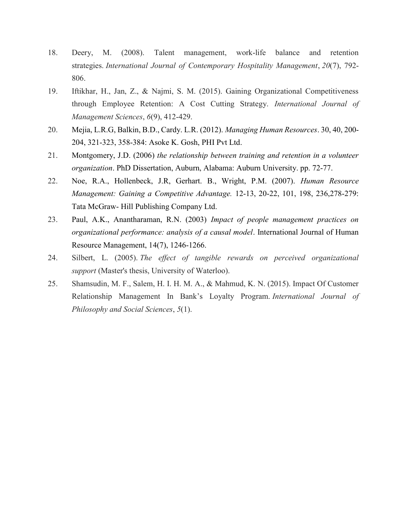- 18. Deery, M. (2008). Talent management, work-life balance and retention strategies. International Journal of Contemporary Hospitality Management, 20(7), 792- 806.
- 19. Iftikhar, H., Jan, Z., & Najmi, S. M. (2015). Gaining Organizational Competitiveness through Employee Retention: A Cost Cutting Strategy. International Journal of Management Sciences, 6(9), 412-429.
- 20. Mejia, L.R.G, Balkin, B.D., Cardy. L.R. (2012). Managing Human Resources. 30, 40, 200- 204, 321-323, 358-384: Asoke K. Gosh, PHI Pvt Ltd.
- 21. Montgomery, J.D. (2006) the relationship between training and retention in a volunteer organization. PhD Dissertation, Auburn, Alabama: Auburn University. pp. 72-77.
- 22. Noe, R.A., Hollenbeck, J.R, Gerhart. B., Wright, P.M. (2007). Human Resource Management: Gaining a Competitive Advantage. 12-13, 20-22, 101, 198, 236,278-279: Tata McGraw- Hill Publishing Company Ltd.
- 23. Paul, A.K., Anantharaman, R.N. (2003) Impact of people management practices on organizational performance: analysis of a causal model. International Journal of Human Resource Management, 14(7), 1246-1266.
- 24. Silbert, L. (2005). The effect of tangible rewards on perceived organizational support (Master's thesis, University of Waterloo).
- 25. Shamsudin, M. F., Salem, H. I. H. M. A., & Mahmud, K. N. (2015). Impact Of Customer Relationship Management In Bank's Loyalty Program. International Journal of Philosophy and Social Sciences, 5(1).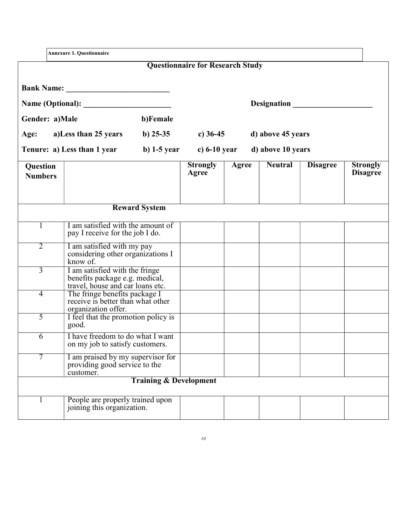|                            | <b>Annexure 1. Questionnaire</b>                                                                                              |                                   |                                         |       |                    |                 |                                    |
|----------------------------|-------------------------------------------------------------------------------------------------------------------------------|-----------------------------------|-----------------------------------------|-------|--------------------|-----------------|------------------------------------|
|                            |                                                                                                                               |                                   | <b>Questionnaire for Research Study</b> |       |                    |                 |                                    |
|                            |                                                                                                                               |                                   |                                         |       | <b>Designation</b> |                 |                                    |
| Gender: a)Male             |                                                                                                                               | b)Female                          |                                         |       |                    |                 |                                    |
| Age:                       | a)Less than 25 years                                                                                                          | b) $25-35$                        | c) $36-45$                              |       | d) above 45 years  |                 |                                    |
|                            | Tenure: a) Less than 1 year                                                                                                   | <b>b</b> ) 1-5 year               | c) $6-10$ year                          |       | d) above 10 years  |                 |                                    |
| Question<br><b>Numbers</b> |                                                                                                                               |                                   | <b>Strongly</b><br>Agree                | Agree | <b>Neutral</b>     | <b>Disagree</b> | <b>Strongly</b><br><b>Disagree</b> |
|                            |                                                                                                                               | <b>Reward System</b>              |                                         |       |                    |                 |                                    |
| 1                          | I am satisfied with the amount of<br>pay I receive for the job I do.                                                          |                                   |                                         |       |                    |                 |                                    |
| $\overline{2}$             | I am satisfied with my pay<br>considering other organizations I<br>know of.                                                   |                                   |                                         |       |                    |                 |                                    |
| $\overline{3}$             | I am satisfied with the fringe<br>benefits package e.g. medical,                                                              |                                   |                                         |       |                    |                 |                                    |
| $\overline{4}$             | travel, house and car loans etc.<br>The fringe benefits package I<br>receive is better than what other<br>organization offer. |                                   |                                         |       |                    |                 |                                    |
| 5                          | I feel that the promotion policy is<br>good.                                                                                  |                                   |                                         |       |                    |                 |                                    |
| 6                          | I have freedom to do what I want<br>on my job to satisfy customers.                                                           |                                   |                                         |       |                    |                 |                                    |
| 7                          | I am praised by my supervisor for<br>providing good service to the<br>customer.                                               |                                   |                                         |       |                    |                 |                                    |
|                            |                                                                                                                               | <b>Training &amp; Development</b> |                                         |       |                    |                 |                                    |
|                            | People are properly trained upon<br>joining this organization.                                                                |                                   |                                         |       |                    |                 |                                    |